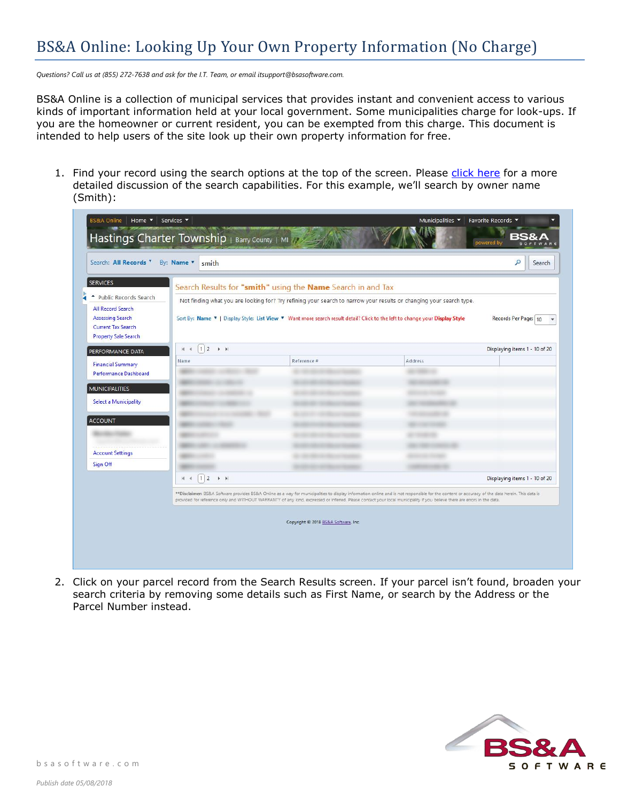## BS&A Online: Looking Up Your Own Property Information (No Charge)

*Questions? Call us at (855) 272-7638 and ask for the I.T. Team, or email itsupport@bsasoftware.com.*

BS&A Online is a collection of municipal services that provides instant and convenient access to various kinds of important information held at your local government. Some municipalities charge for look-ups. If you are the homeowner or current resident, you can be exempted from this charge. This document is intended to help users of the site look up their own property information for free.

1. Find your record using the search options at the top of the screen. Please [click here](https://bsaonline.com/Documents/bsao_basics.pdf) for a more detailed discussion of the search capabilities. For this example, we'll search by owner name (Smith):

| <b>SERVICES</b><br>- Public Records Search<br><b>All Record Search</b><br><b>Assessing Search</b><br><b>Current Tax Search</b><br><b>Property Sale Search</b> |                                            | Search Results for "smith" using the Name Search in and Tax<br>Not finding what you are looking for? Try refining your search to narrow your results or changing your search type.<br>Sort By: Name ▼   Display Style: List View ▼ Want more search result detail? Click to the left to change your Display Style                                                                                                  |         | Records Per Page: 10          |
|---------------------------------------------------------------------------------------------------------------------------------------------------------------|--------------------------------------------|--------------------------------------------------------------------------------------------------------------------------------------------------------------------------------------------------------------------------------------------------------------------------------------------------------------------------------------------------------------------------------------------------------------------|---------|-------------------------------|
| PERFORMANCE DATA                                                                                                                                              | $12 \rightarrow H$<br>H.<br>$\overline{4}$ |                                                                                                                                                                                                                                                                                                                                                                                                                    |         | Displaying items 1 - 10 of 20 |
| <b>Financial Summary</b>                                                                                                                                      | Name                                       | Reference #                                                                                                                                                                                                                                                                                                                                                                                                        | Address |                               |
| Performance Dashboard                                                                                                                                         |                                            |                                                                                                                                                                                                                                                                                                                                                                                                                    |         |                               |
|                                                                                                                                                               |                                            |                                                                                                                                                                                                                                                                                                                                                                                                                    |         |                               |
| <b>MUNICIPALITIES</b>                                                                                                                                         |                                            |                                                                                                                                                                                                                                                                                                                                                                                                                    |         |                               |
| <b>Select a Municipality</b>                                                                                                                                  |                                            |                                                                                                                                                                                                                                                                                                                                                                                                                    |         |                               |
|                                                                                                                                                               |                                            |                                                                                                                                                                                                                                                                                                                                                                                                                    |         |                               |
| ACCOUNT                                                                                                                                                       |                                            |                                                                                                                                                                                                                                                                                                                                                                                                                    |         |                               |
|                                                                                                                                                               |                                            |                                                                                                                                                                                                                                                                                                                                                                                                                    |         |                               |
|                                                                                                                                                               |                                            |                                                                                                                                                                                                                                                                                                                                                                                                                    |         |                               |
| <b>Account Settings</b>                                                                                                                                       |                                            |                                                                                                                                                                                                                                                                                                                                                                                                                    |         |                               |
| Sign Off                                                                                                                                                      |                                            |                                                                                                                                                                                                                                                                                                                                                                                                                    |         |                               |
|                                                                                                                                                               | $12 \rightarrow H$<br>N<br>$\overline{4}$  |                                                                                                                                                                                                                                                                                                                                                                                                                    |         | Displaying items 1 - 10 of 20 |
|                                                                                                                                                               |                                            | **Disclaimer: BS&A Software provides BS&A Online as a way for municipalities to display information online and is not responsible for the content or accuracy of the data herein. This data is<br>provided for reference only and WITHOUT WARRANTY of any kind, expressed or inferred. Please contact your local municipality if you believe there are errors in the data.<br>Copyright @ 2018 BS&A Software, Inc. |         |                               |

2. Click on your parcel record from the Search Results screen. If your parcel isn't found, broaden your search criteria by removing some details such as First Name, or search by the Address or the Parcel Number instead.

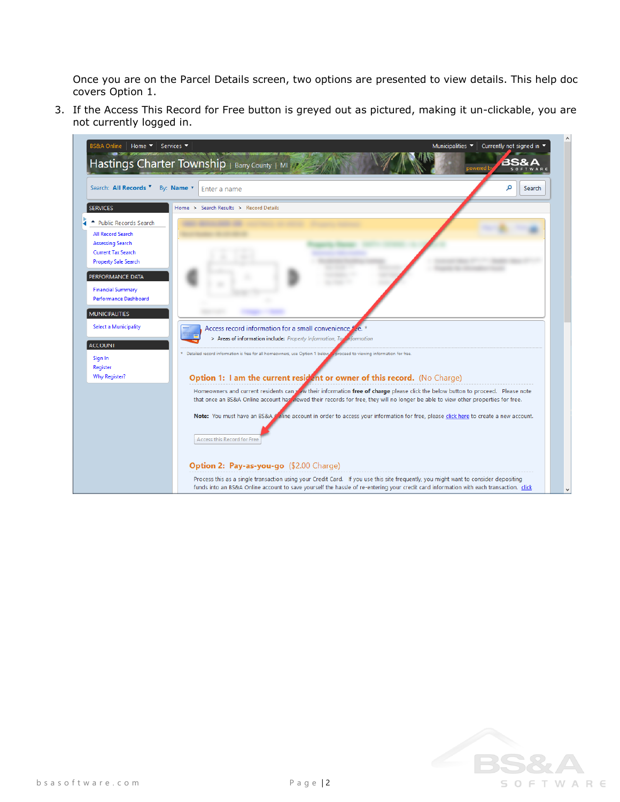Once you are on the Parcel Details screen, two options are presented to view details. This help doc covers Option 1.

3. If the Access This Record for Free button is greyed out as pictured, making it un-clickable, you are not currently logged in.